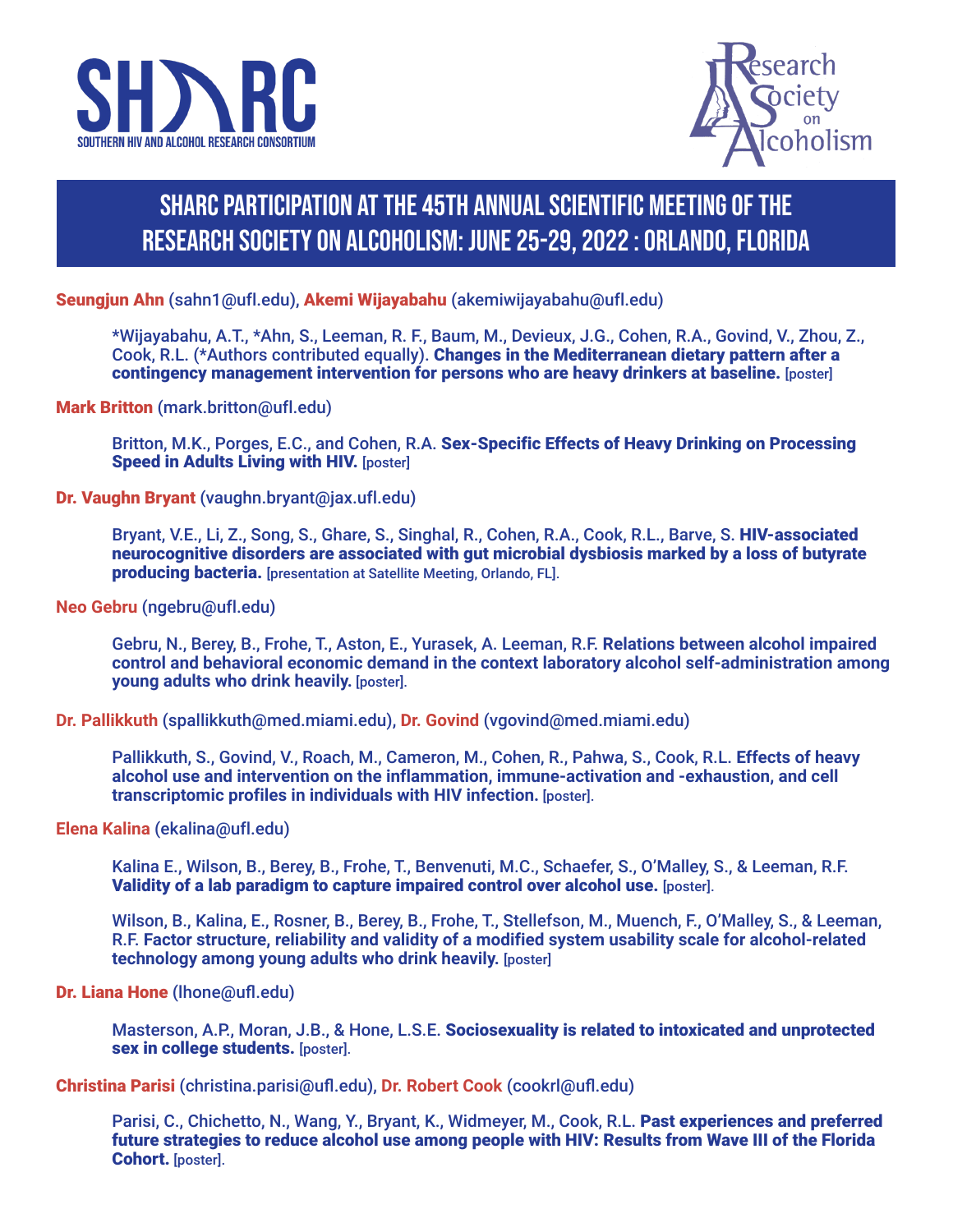



# SHARC Participation at the 45th Annual Scientific Meeting of the Research Society on Alcoholism: June 25-29, 2022 : Orlando, Florida

Seungjun Ahn (sahn1@ufl.edu), Akemi Wijayabahu (akemiwijayabahu@ufl.edu)

\*Wijayabahu, A.T., \*Ahn, S., Leeman, R. F., Baum, M., Devieux, J.G., Cohen, R.A., Govind, V., Zhou, Z., Cook, R.L. (\*Authors contributed equally). Changes in the Mediterranean dietary pattern after a contingency management intervention for persons who are heavy drinkers at baseline. [poster]

Mark Britton (mark.britton@ufl.edu)

Britton, M.K., Porges, E.C., and Cohen, R.A. Sex-Specific Effects of Heavy Drinking on Processing Speed in Adults Living with HIV. [poster]

Dr. Vaughn Bryant (vaughn.bryant@jax.ufl.edu)

Bryant, V.E., Li, Z., Song, S., Ghare, S., Singhal, R., Cohen, R.A., Cook, R.L., Barve, S. HIV-associated neurocognitive disorders are associated with gut microbial dysbiosis marked by a loss of butyrate producing bacteria. [presentation at Satellite Meeting, Orlando, FL].

**Neo Gebru** (ngebru@ufl.edu)

Gebru, N., Berey, B., Frohe, T., Aston, E., Yurasek, A. Leeman, R.F. **Relations between alcohol impaired control and behavioral economic demand in the context laboratory alcohol self-administration among young adults who drink heavily.** [poster].

**Dr. Pallikkuth** (spallikkuth@med.miami.edu), **Dr. Govind** (vgovind@med.miami.edu)

Pallikkuth, S., Govind, V., Roach, M., Cameron, M., Cohen, R., Pahwa, S., Cook, R.L. **Effects of heavy alcohol use and intervention on the inflammation, immune-activation and -exhaustion, and cell transcriptomic profiles in individuals with HIV infection.** [poster].

**Elena Kalina** (ekalina@ufl.edu)

Kalina E., Wilson, B., Berey, B., Frohe, T., Benvenuti, M.C., Schaefer, S., O'Malley, S., & Leeman, R.F. Validity of a lab paradigm to capture impaired control over alcohol use. [poster].

Wilson, B., Kalina, E., Rosner, B., Berey, B., Frohe, T., Stellefson, M., Muench, F., O'Malley, S., & Leeman, R.F. **Factor structure, reliability and validity of a modified system usability scale for alcohol-related technology among young adults who drink heavily.** [poster]

Dr. Liana Hone (lhone@ufl.edu)

Masterson, A.P., Moran, J.B., & Hone, L.S.E. Sociosexuality is related to intoxicated and unprotected sex in college students. [poster].

Christina Parisi (christina.parisi@ufl.edu), **Dr. Robert Cook** (cookrl@ufl.edu)

Parisi, C., Chichetto, N., Wang, Y., Bryant, K., Widmeyer, M., Cook, R.L. Past experiences and preferred future strategies to reduce alcohol use among people with HIV: Results from Wave III of the Florida Cohort. [poster].